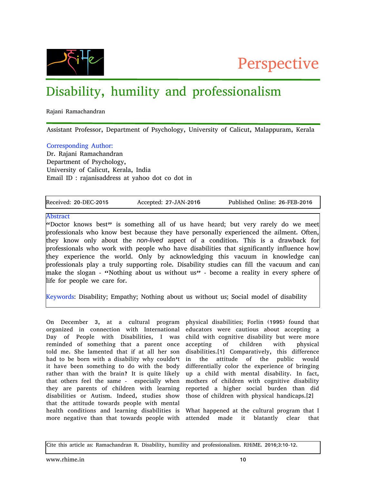



## Disability, humility and professionalism

Rajani Ramachandran

Assistant Professor, Department of Psychology, University of Calicut, Malappuram, Kerala

## Corresponding Author:

Dr. Rajani Ramachandran Department of Psychology, University of Calicut, Kerala, India Email ID : rajanisaddress at yahoo dot co dot in

Received: 20-DEC-2015 Accepted: 27-JAN-2016 Published Online: 26-FEB-2016

## Abstract

"Doctor knows best" is something all of us have heard; but very rarely do we meet professionals who know best because they have personally experienced the ailment. Often, they know only about the non-lived aspect of a condition. This is a drawback for professionals who work with people who have disabilities that significantly influence how they experience the world. Only by acknowledging this vacuum in knowledge can professionals play a truly supporting role. Disability studies can fill the vacuum and can make the slogan - "Nothing about us without us" - become a reality in every sphere of life for people we care for.

Keywords: Disability; Empathy; Nothing about us without us; Social model of disability

On December 3, at a cultural program organized in connection with International Day of People with Disabilities, I was reminded of something that a parent once told me. She lamented that if at all her son had to be born with a disability why couldn't it have been something to do with the body rather than with the brain? It is quite likely that others feel the same - especially when they are parents of children with learning disabilities or Autism. Indeed, studies show that the attitude towards people with mental health conditions and learning disabilities is What happened at the cultural program that I more negative than that towards people with attended made it blatantly clear that

physical disabilities; Forlin (1995) found that educators were cautious about accepting a child with cognitive disability but were more accepting of children with physical disabilities.[1] Comparatively, this difference in the attitude of the public would differentially color the experience of bringing up a child with mental disability. In fact, mothers of children with cognitive disability reported a higher social burden than did those of children with physical handicaps.[2]

Cite this article as: Ramachandran R. Disability, humility and professionalism. RHiME. 2016;3:10-12.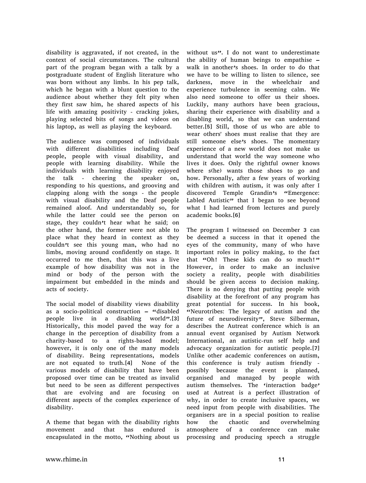disability is aggravated, if not created, in the context of social circumstances. The cultural part of the program began with a talk by a postgraduate student of English literature who was born without any limbs. In his pep talk, which he began with a blunt question to the audience about whether they felt pity when they first saw him, he shared aspects of his life with amazing positivity - cracking jokes, playing selected bits of songs and videos on his laptop, as well as playing the keyboard.

The audience was composed of individuals with different disabilities including Deaf people, people with visual disability, and people with learning disability. While the individuals with learning disability enjoyed the talk - cheering the speaker on, responding to his questions, and grooving and clapping along with the songs - the people with visual disability and the Deaf people remained aloof. And understandably so, for while the latter could see the person on stage, they couldn't hear what he said; on the other hand, the former were not able to place what they heard in context as they couldn't see this young man, who had no limbs, moving around confidently on stage. It occurred to me then, that this was a live example of how disability was not in the mind or body of the person with the impairment but embedded in the minds and acts of society.

The social model of disability views disability as a socio-political construction – "disabled people live in a disabling world".[3] Historically, this model paved the way for a change in the perception of disability from a charity-based to a rights-based model; however, it is only one of the many models of disability. Being representations, models are not equated to truth.[4] None of the various models of disability that have been proposed over time can be treated as invalid but need to be seen as different perspectives that are evolving and are focusing on different aspects of the complex experience of disability.

A theme that began with the disability rights movement and that has endured is encapsulated in the motto, "Nothing about us without us". I do not want to underestimate the ability of human beings to empathise – walk in another's shoes. In order to do that we have to be willing to listen to silence, see darkness, move in the wheelchair and experience turbulence in seeming calm. We also need someone to offer us their shoes. Luckily, many authors have been gracious, sharing their experience with disability and a disabling world, so that we can understand better.[5] Still, those of us who are able to wear others' shoes must realise that they are still someone else's shoes. The momentary experience of a new world does not make us understand that world the way someone who lives it does. Only the rightful owner knows where s(he) wants those shoes to go and how. Personally, after a few years of working with children with autism, it was only after I discovered Temple Grandin's "Emergence: Labled Autistic $\boldsymbol{v}$  that I began to see beyond what I had learned from lectures and purely academic books.[6]

The program I witnessed on December 3 can be deemed a success in that it opened the eyes of the community, many of who have important roles in policy making, to the fact that "Oh! These kids can do so much!" However, in order to make an inclusive society a reality, people with disabilities should be given access to decision making. There is no denying that putting people with disability at the forefront of any program has great potential for success. In his book, "Neurotribes: The legacy of autism and the future of neurodiversity", Steve Silberman, describes the Autreat conference which is an annual event organised by Autism Network International, an autistic-run self help and advocacy organization for autistic people.[7] Unlike other academic conferences on autism, this conference is truly autism friendly possibly because the event is planned, organised and managed by people with autism themselves. The 'interaction badge' used at Autreat is a perfect illustration of why, in order to create inclusive spaces, we need input from people with disabilities. The organisers are in a special position to realise how the chaotic and overwhelming atmosphere of a conference can make processing and producing speech a struggle